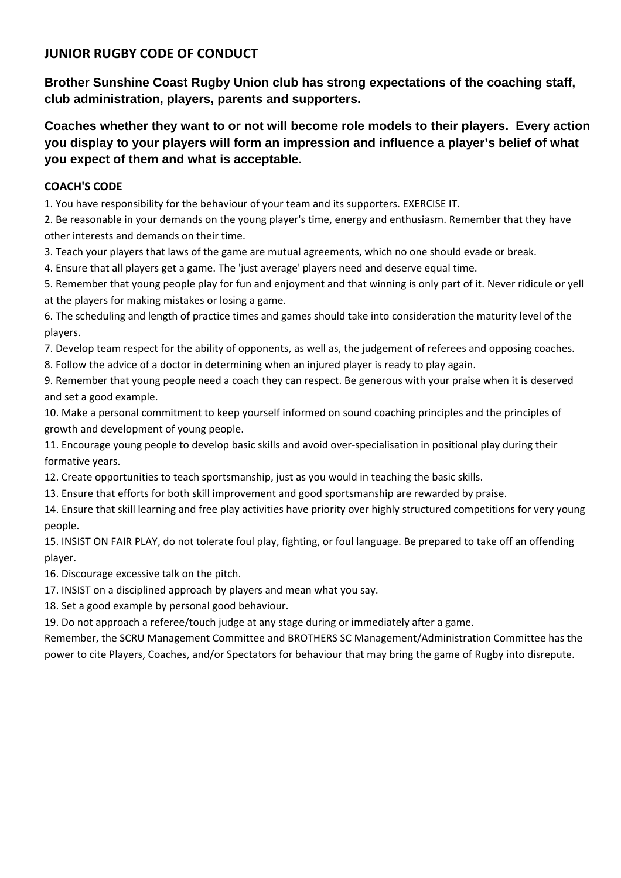**Brother Sunshine Coast Rugby Union club has strong expectations of the coaching staff, club administration, players, parents and supporters.** 

**Coaches whether they want to or not will become role models to their players. Every action you display to your players will form an impression and influence a player's belief of what you expect of them and what is acceptable.** 

#### **COACH'S CODE**

1. You have responsibility for the behaviour of your team and its supporters. EXERCISE IT.

2. Be reasonable in your demands on the young player's time, energy and enthusiasm. Remember that they have other interests and demands on their time.

3. Teach your players that laws of the game are mutual agreements, which no one should evade or break.

4. Ensure that all players get a game. The 'just average' players need and deserve equal time.

5. Remember that young people play for fun and enjoyment and that winning is only part of it. Never ridicule or yell at the players for making mistakes or losing a game.

6. The scheduling and length of practice times and games should take into consideration the maturity level of the players.

7. Develop team respect for the ability of opponents, as well as, the judgement of referees and opposing coaches.

8. Follow the advice of a doctor in determining when an injured player is ready to play again.

9. Remember that young people need a coach they can respect. Be generous with your praise when it is deserved and set a good example.

10. Make a personal commitment to keep yourself informed on sound coaching principles and the principles of growth and development of young people.

11. Encourage young people to develop basic skills and avoid over‐specialisation in positional play during their formative years.

12. Create opportunities to teach sportsmanship, just as you would in teaching the basic skills.

13. Ensure that efforts for both skill improvement and good sportsmanship are rewarded by praise.

14. Ensure that skill learning and free play activities have priority over highly structured competitions for very young people.

15. INSIST ON FAIR PLAY, do not tolerate foul play, fighting, or foul language. Be prepared to take off an offending player.

16. Discourage excessive talk on the pitch.

17. INSIST on a disciplined approach by players and mean what you say.

18. Set a good example by personal good behaviour.

19. Do not approach a referee/touch judge at any stage during or immediately after a game.

Remember, the SCRU Management Committee and BROTHERS SC Management/Administration Committee has the power to cite Players, Coaches, and/or Spectators for behaviour that may bring the game of Rugby into disrepute.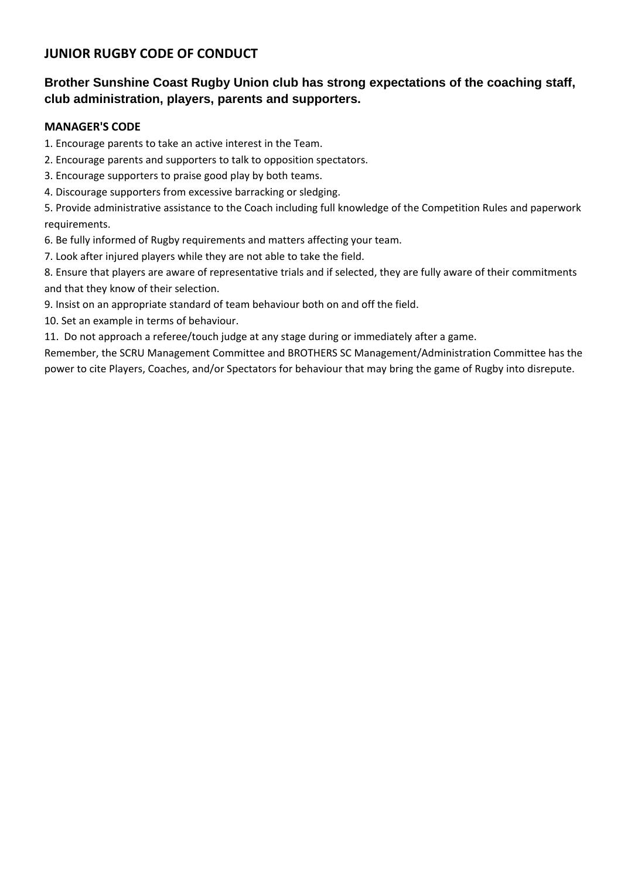## **Brother Sunshine Coast Rugby Union club has strong expectations of the coaching staff, club administration, players, parents and supporters.**

#### **MANAGER'S CODE**

1. Encourage parents to take an active interest in the Team.

- 2. Encourage parents and supporters to talk to opposition spectators.
- 3. Encourage supporters to praise good play by both teams.
- 4. Discourage supporters from excessive barracking or sledging.

5. Provide administrative assistance to the Coach including full knowledge of the Competition Rules and paperwork requirements.

6. Be fully informed of Rugby requirements and matters affecting your team.

7. Look after injured players while they are not able to take the field.

8. Ensure that players are aware of representative trials and if selected, they are fully aware of their commitments and that they know of their selection.

- 9. Insist on an appropriate standard of team behaviour both on and off the field.
- 10. Set an example in terms of behaviour.
- 11. Do not approach a referee/touch judge at any stage during or immediately after a game.

Remember, the SCRU Management Committee and BROTHERS SC Management/Administration Committee has the power to cite Players, Coaches, and/or Spectators for behaviour that may bring the game of Rugby into disrepute.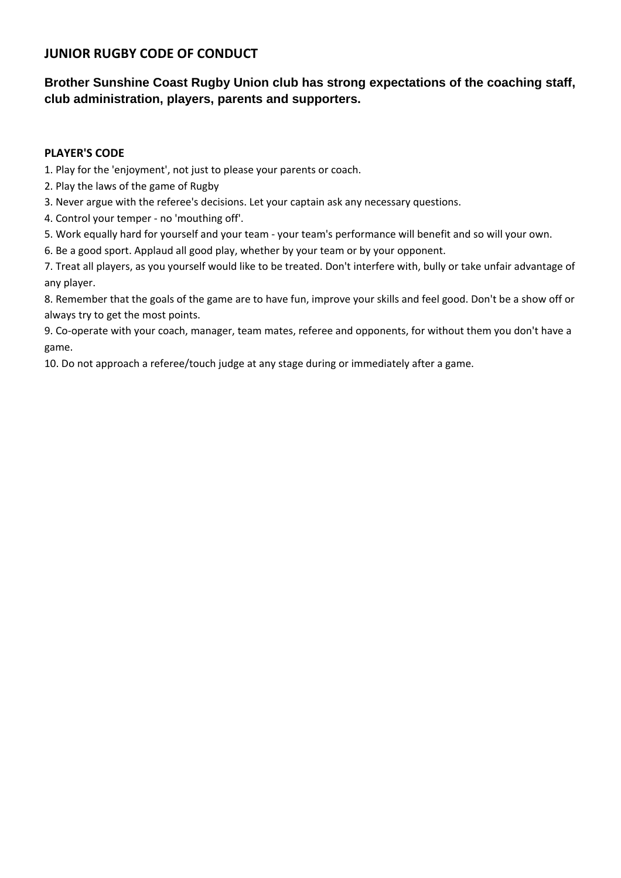## **Brother Sunshine Coast Rugby Union club has strong expectations of the coaching staff, club administration, players, parents and supporters.**

#### **PLAYER'S CODE**

1. Play for the 'enjoyment', not just to please your parents or coach.

- 2. Play the laws of the game of Rugby
- 3. Never argue with the referee's decisions. Let your captain ask any necessary questions.
- 4. Control your temper ‐ no 'mouthing off'.
- 5. Work equally hard for yourself and your team ‐ your team's performance will benefit and so will your own.
- 6. Be a good sport. Applaud all good play, whether by your team or by your opponent.

7. Treat all players, as you yourself would like to be treated. Don't interfere with, bully or take unfair advantage of any player.

8. Remember that the goals of the game are to have fun, improve your skills and feel good. Don't be a show off or always try to get the most points.

9. Co-operate with your coach, manager, team mates, referee and opponents, for without them you don't have a game.

10. Do not approach a referee/touch judge at any stage during or immediately after a game.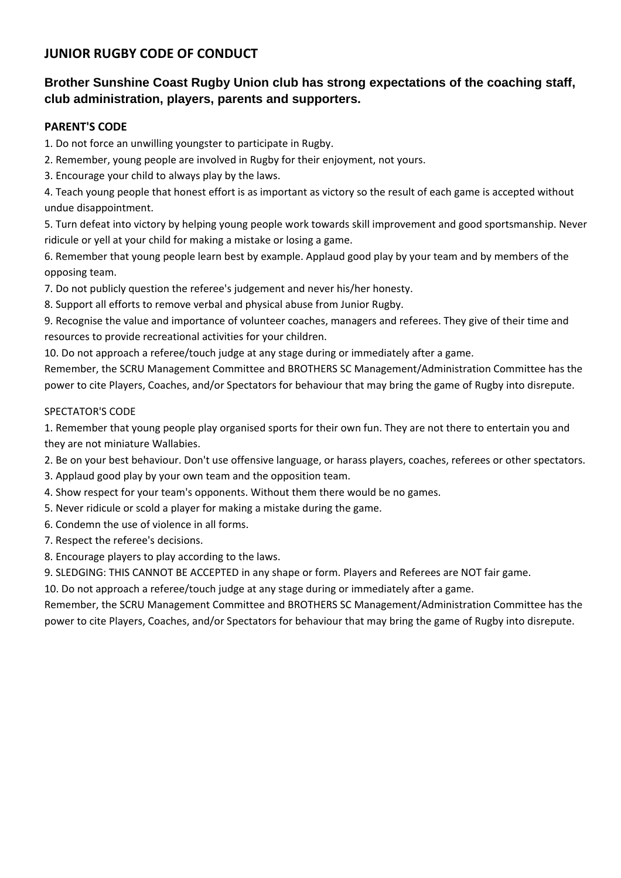## **Brother Sunshine Coast Rugby Union club has strong expectations of the coaching staff, club administration, players, parents and supporters.**

#### **PARENT'S CODE**

1. Do not force an unwilling youngster to participate in Rugby.

- 2. Remember, young people are involved in Rugby for their enjoyment, not yours.
- 3. Encourage your child to always play by the laws.

4. Teach young people that honest effort is as important as victory so the result of each game is accepted without undue disappointment.

5. Turn defeat into victory by helping young people work towards skill improvement and good sportsmanship. Never ridicule or yell at your child for making a mistake or losing a game.

6. Remember that young people learn best by example. Applaud good play by your team and by members of the opposing team.

7. Do not publicly question the referee's judgement and never his/her honesty.

8. Support all efforts to remove verbal and physical abuse from Junior Rugby.

9. Recognise the value and importance of volunteer coaches, managers and referees. They give of their time and resources to provide recreational activities for your children.

10. Do not approach a referee/touch judge at any stage during or immediately after a game.

Remember, the SCRU Management Committee and BROTHERS SC Management/Administration Committee has the power to cite Players, Coaches, and/or Spectators for behaviour that may bring the game of Rugby into disrepute.

#### SPECTATOR'S CODE

1. Remember that young people play organised sports for their own fun. They are not there to entertain you and they are not miniature Wallabies.

- 2. Be on your best behaviour. Don't use offensive language, or harass players, coaches, referees or other spectators.
- 3. Applaud good play by your own team and the opposition team.
- 4. Show respect for your team's opponents. Without them there would be no games.
- 5. Never ridicule or scold a player for making a mistake during the game.
- 6. Condemn the use of violence in all forms.
- 7. Respect the referee's decisions.
- 8. Encourage players to play according to the laws.
- 9. SLEDGING: THIS CANNOT BE ACCEPTED in any shape or form. Players and Referees are NOT fair game.

10. Do not approach a referee/touch judge at any stage during or immediately after a game.

Remember, the SCRU Management Committee and BROTHERS SC Management/Administration Committee has the power to cite Players, Coaches, and/or Spectators for behaviour that may bring the game of Rugby into disrepute.